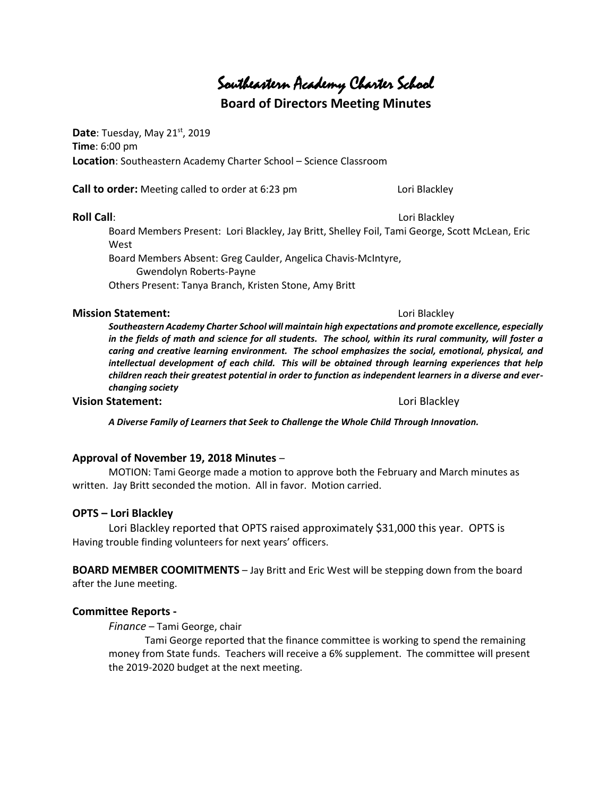# Southeastern Academy Charter School

# **Board of Directors Meeting Minutes**

**Date**: Tuesday, May 21<sup>st</sup>, 2019 **Time**: 6:00 pm **Location**: Southeastern Academy Charter School – Science Classroom

**Call to order:** Meeting called to order at 6:23 pm Lori Blackley

#### **Roll Call**: **Lori Blackley**

Board Members Present: Lori Blackley, Jay Britt, Shelley Foil, Tami George, Scott McLean, Eric **West** Board Members Absent: Greg Caulder, Angelica Chavis-McIntyre,

 Gwendolyn Roberts-Payne Others Present: Tanya Branch, Kristen Stone, Amy Britt

#### **Mission Statement:**  $\qquad \qquad$  Lori Blackley

*Southeastern Academy Charter School will maintain high expectations and promote excellence, especially in the fields of math and science for all students. The school, within its rural community, will foster a caring and creative learning environment. The school emphasizes the social, emotional, physical, and intellectual development of each child. This will be obtained through learning experiences that help children reach their greatest potential in order to function as independent learners in a diverse and everchanging society*

#### **Vision Statement:** Lori Blackley

*A Diverse Family of Learners that Seek to Challenge the Whole Child Through Innovation.*

#### **Approval of November 19, 2018 Minutes** –

MOTION: Tami George made a motion to approve both the February and March minutes as written. Jay Britt seconded the motion. All in favor. Motion carried.

### **OPTS – Lori Blackley**

Lori Blackley reported that OPTS raised approximately \$31,000 this year. OPTS is Having trouble finding volunteers for next years' officers.

**BOARD MEMBER COOMITMENTS** – Jay Britt and Eric West will be stepping down from the board after the June meeting.

### **Committee Reports -**

*Finance* – Tami George, chair

Tami George reported that the finance committee is working to spend the remaining money from State funds. Teachers will receive a 6% supplement. The committee will present the 2019-2020 budget at the next meeting.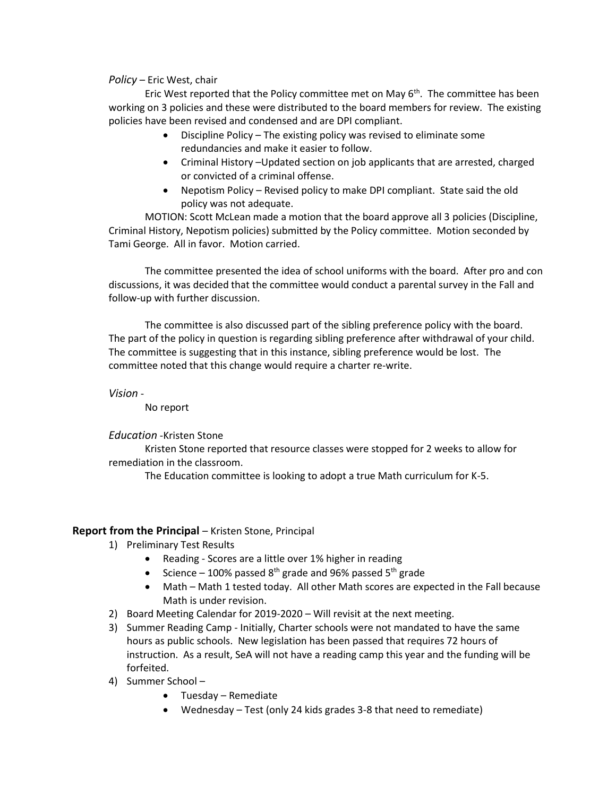#### *Policy* – Eric West, chair

Eric West reported that the Policy committee met on May  $6<sup>th</sup>$ . The committee has been working on 3 policies and these were distributed to the board members for review. The existing policies have been revised and condensed and are DPI compliant.

- Discipline Policy The existing policy was revised to eliminate some redundancies and make it easier to follow.
- Criminal History –Updated section on job applicants that are arrested, charged or convicted of a criminal offense.
- Nepotism Policy Revised policy to make DPI compliant. State said the old policy was not adequate.

MOTION: Scott McLean made a motion that the board approve all 3 policies (Discipline, Criminal History, Nepotism policies) submitted by the Policy committee. Motion seconded by Tami George. All in favor. Motion carried.

The committee presented the idea of school uniforms with the board. After pro and con discussions, it was decided that the committee would conduct a parental survey in the Fall and follow-up with further discussion.

The committee is also discussed part of the sibling preference policy with the board. The part of the policy in question is regarding sibling preference after withdrawal of your child. The committee is suggesting that in this instance, sibling preference would be lost. The committee noted that this change would require a charter re-write.

*Vision* -

No report

*Education* -Kristen Stone

Kristen Stone reported that resource classes were stopped for 2 weeks to allow for remediation in the classroom.

The Education committee is looking to adopt a true Math curriculum for K-5.

### **Report from the Principal** – Kristen Stone, Principal

- 1) Preliminary Test Results
	- Reading Scores are a little over 1% higher in reading
	- Science 100% passed  $8^{th}$  grade and 96% passed  $5^{th}$  grade
	- Math Math 1 tested today. All other Math scores are expected in the Fall because Math is under revision.
- 2) Board Meeting Calendar for 2019-2020 Will revisit at the next meeting.
- 3) Summer Reading Camp Initially, Charter schools were not mandated to have the same hours as public schools. New legislation has been passed that requires 72 hours of instruction. As a result, SeA will not have a reading camp this year and the funding will be forfeited.
- 4) Summer School
	- Tuesday Remediate
	- Wednesday Test (only 24 kids grades 3-8 that need to remediate)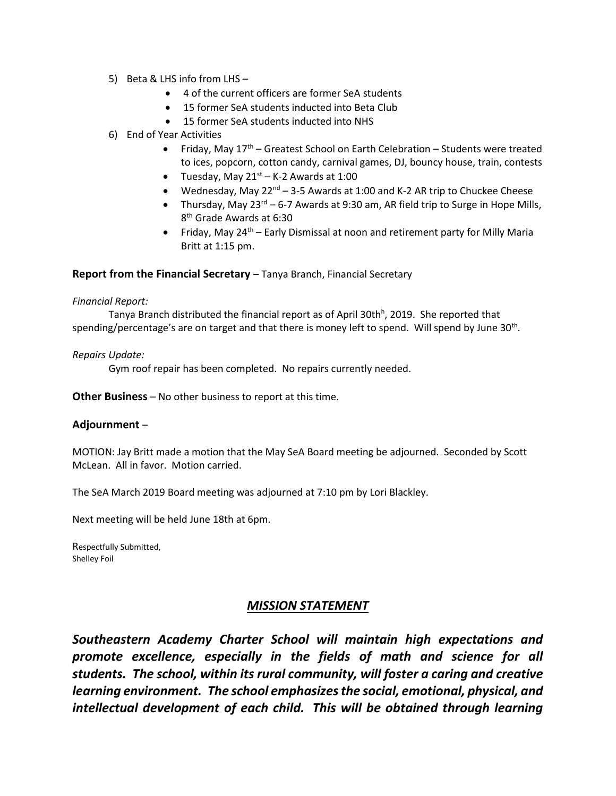- 5) Beta & LHS info from LHS
	- 4 of the current officers are former SeA students
	- 15 former SeA students inducted into Beta Club
	- 15 former SeA students inducted into NHS
- 6) End of Year Activities
	- Friday, May  $17<sup>th</sup>$  Greatest School on Earth Celebration Students were treated to ices, popcorn, cotton candy, carnival games, DJ, bouncy house, train, contests
	- Tuesday, May  $21^{st}$  K-2 Awards at 1:00
	- Wednesday, May  $22^{nd}$  3-5 Awards at 1:00 and K-2 AR trip to Chuckee Cheese
	- Thursday, May  $23^{\text{rd}}$  6-7 Awards at 9:30 am, AR field trip to Surge in Hope Mills, 8 th Grade Awards at 6:30
	- Friday, May  $24^{th}$  Early Dismissal at noon and retirement party for Milly Maria Britt at 1:15 pm.

#### **Report from the Financial Secretary** – Tanya Branch, Financial Secretary

#### *Financial Report:*

Tanya Branch distributed the financial report as of April 30th<sup>h</sup>, 2019. She reported that spending/percentage's are on target and that there is money left to spend. Will spend by June 30<sup>th</sup>.

#### *Repairs Update:*

Gym roof repair has been completed. No repairs currently needed.

**Other Business** – No other business to report at this time.

#### **Adjournment** –

MOTION: Jay Britt made a motion that the May SeA Board meeting be adjourned. Seconded by Scott McLean. All in favor. Motion carried.

The SeA March 2019 Board meeting was adjourned at 7:10 pm by Lori Blackley.

Next meeting will be held June 18th at 6pm.

Respectfully Submitted, Shelley Foil

### *MISSION STATEMENT*

*Southeastern Academy Charter School will maintain high expectations and promote excellence, especially in the fields of math and science for all students. The school, within its rural community, will foster a caring and creative learning environment. The school emphasizes the social, emotional, physical, and intellectual development of each child. This will be obtained through learning*